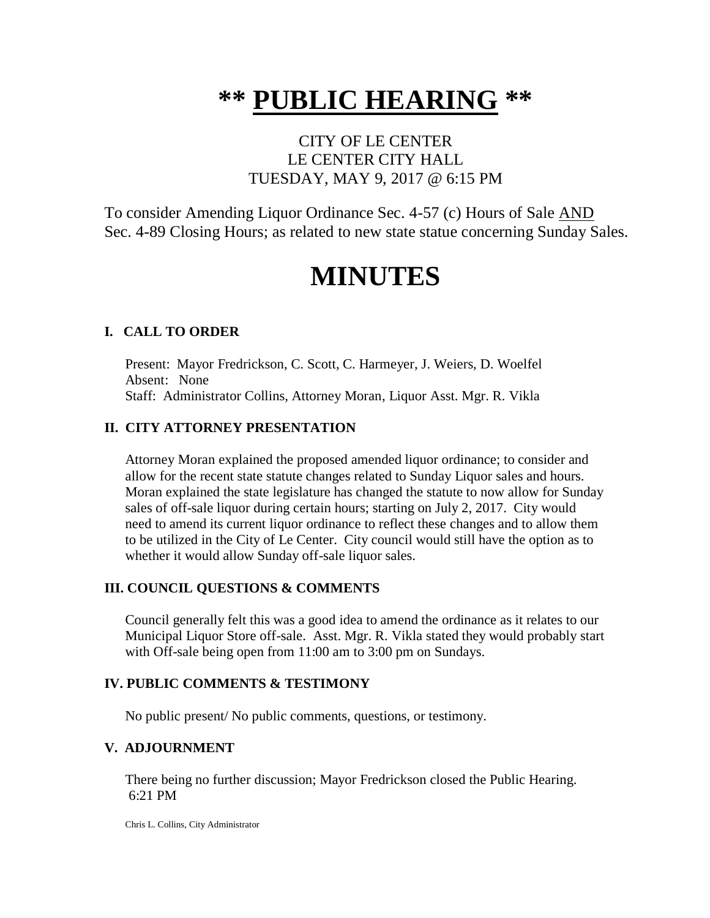# **\*\* PUBLIC HEARING \*\***

## CITY OF LE CENTER LE CENTER CITY HALL TUESDAY, MAY 9, 2017 @ 6:15 PM

To consider Amending Liquor Ordinance Sec. 4-57 (c) Hours of Sale AND Sec. 4-89 Closing Hours; as related to new state statue concerning Sunday Sales.

# **MINUTES**

### **I. CALL TO ORDER**

Present: Mayor Fredrickson, C. Scott, C. Harmeyer, J. Weiers, D. Woelfel Absent: None Staff: Administrator Collins, Attorney Moran, Liquor Asst. Mgr. R. Vikla

### **II. CITY ATTORNEY PRESENTATION**

Attorney Moran explained the proposed amended liquor ordinance; to consider and allow for the recent state statute changes related to Sunday Liquor sales and hours. Moran explained the state legislature has changed the statute to now allow for Sunday sales of off-sale liquor during certain hours; starting on July 2, 2017. City would need to amend its current liquor ordinance to reflect these changes and to allow them to be utilized in the City of Le Center. City council would still have the option as to whether it would allow Sunday off-sale liquor sales.

### **III. COUNCIL QUESTIONS & COMMENTS**

Council generally felt this was a good idea to amend the ordinance as it relates to our Municipal Liquor Store off-sale. Asst. Mgr. R. Vikla stated they would probably start with Off-sale being open from 11:00 am to 3:00 pm on Sundays.

#### **IV. PUBLIC COMMENTS & TESTIMONY**

No public present/ No public comments, questions, or testimony.

#### **V. ADJOURNMENT**

There being no further discussion; Mayor Fredrickson closed the Public Hearing. 6:21 PM

Chris L. Collins, City Administrator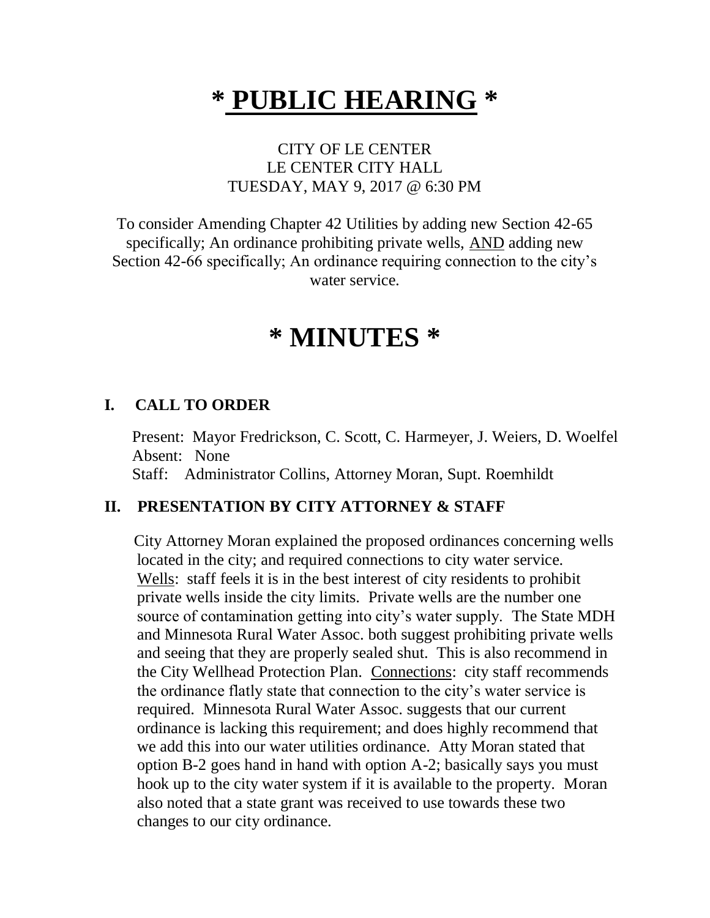# **\* PUBLIC HEARING \***

### CITY OF LE CENTER LE CENTER CITY HALL TUESDAY, MAY 9, 2017 @ 6:30 PM

To consider Amending Chapter 42 Utilities by adding new Section 42-65 specifically; An ordinance prohibiting private wells, AND adding new Section 42-66 specifically; An ordinance requiring connection to the city's water service.

# **\* MINUTES \***

### **I. CALL TO ORDER**

Present: Mayor Fredrickson, C. Scott, C. Harmeyer, J. Weiers, D. Woelfel Absent: None Staff: Administrator Collins, Attorney Moran, Supt. Roemhildt

### **II. PRESENTATION BY CITY ATTORNEY & STAFF**

 City Attorney Moran explained the proposed ordinances concerning wells located in the city; and required connections to city water service. Wells: staff feels it is in the best interest of city residents to prohibit private wells inside the city limits. Private wells are the number one source of contamination getting into city's water supply. The State MDH and Minnesota Rural Water Assoc. both suggest prohibiting private wells and seeing that they are properly sealed shut. This is also recommend in the City Wellhead Protection Plan. Connections: city staff recommends the ordinance flatly state that connection to the city's water service is required. Minnesota Rural Water Assoc. suggests that our current ordinance is lacking this requirement; and does highly recommend that we add this into our water utilities ordinance. Atty Moran stated that option B-2 goes hand in hand with option A-2; basically says you must hook up to the city water system if it is available to the property. Moran also noted that a state grant was received to use towards these two changes to our city ordinance.